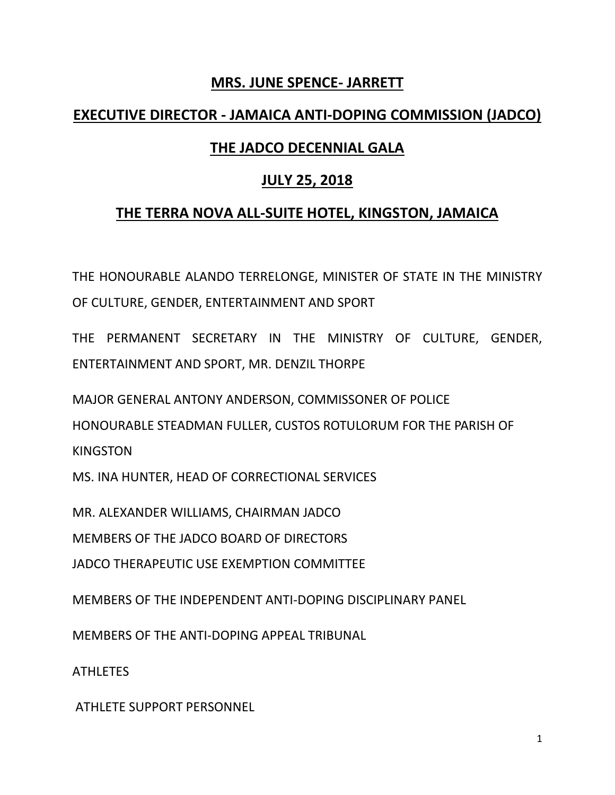#### **MRS. JUNE SPENCE- JARRETT**

### **EXECUTIVE DIRECTOR - JAMAICA ANTI-DOPING COMMISSION (JADCO)**

# **THE JADCO DECENNIAL GALA**

## **JULY 25, 2018**

## **THE TERRA NOVA ALL-SUITE HOTEL, KINGSTON, JAMAICA**

THE HONOURABLE ALANDO TERRELONGE, MINISTER OF STATE IN THE MINISTRY OF CULTURE, GENDER, ENTERTAINMENT AND SPORT

THE PERMANENT SECRETARY IN THE MINISTRY OF CULTURE, GENDER, ENTERTAINMENT AND SPORT, MR. DENZIL THORPE

MAJOR GENERAL ANTONY ANDERSON, COMMISSONER OF POLICE HONOURABLE STEADMAN FULLER, CUSTOS ROTULORUM FOR THE PARISH OF KINGSTON

MS. INA HUNTER, HEAD OF CORRECTIONAL SERVICES

MR. ALEXANDER WILLIAMS, CHAIRMAN JADCO

MEMBERS OF THE JADCO BOARD OF DIRECTORS

JADCO THERAPEUTIC USE EXEMPTION COMMITTEE

MEMBERS OF THE INDEPENDENT ANTI-DOPING DISCIPLINARY PANEL

MEMBERS OF THE ANTI-DOPING APPEAL TRIBUNAL

ATHLETES

ATHLETE SUPPORT PERSONNEL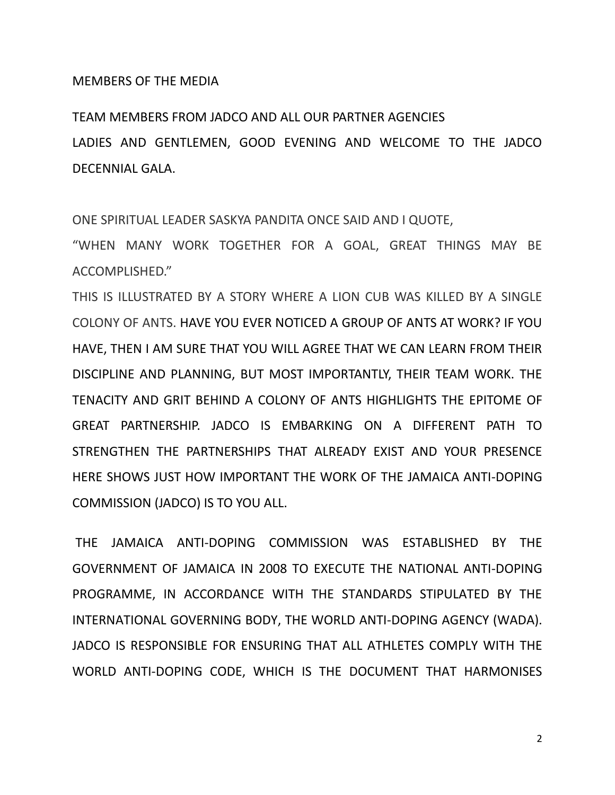#### MEMBERS OF THE MEDIA

TEAM MEMBERS FROM JADCO AND ALL OUR PARTNER AGENCIES LADIES AND GENTLEMEN, GOOD EVENING AND WELCOME TO THE JADCO DECENNIAL GALA.

ONE SPIRITUAL LEADER SASKYA PANDITA ONCE SAID AND I QUOTE,

"WHEN MANY WORK TOGETHER FOR A GOAL, GREAT THINGS MAY BE ACCOMPLISHED."

THIS IS ILLUSTRATED BY A STORY WHERE A LION CUB WAS KILLED BY A SINGLE COLONY OF ANTS. HAVE YOU EVER NOTICED A GROUP OF ANTS AT WORK? IF YOU HAVE, THEN I AM SURE THAT YOU WILL AGREE THAT WE CAN LEARN FROM THEIR DISCIPLINE AND PLANNING, BUT MOST IMPORTANTLY, THEIR TEAM WORK. THE TENACITY AND GRIT BEHIND A COLONY OF ANTS HIGHLIGHTS THE EPITOME OF GREAT PARTNERSHIP. JADCO IS EMBARKING ON A DIFFERENT PATH TO STRENGTHEN THE PARTNERSHIPS THAT ALREADY EXIST AND YOUR PRESENCE HERE SHOWS JUST HOW IMPORTANT THE WORK OF THE JAMAICA ANTI-DOPING COMMISSION (JADCO) IS TO YOU ALL.

THE JAMAICA ANTI-DOPING COMMISSION WAS ESTABLISHED BY THE GOVERNMENT OF JAMAICA IN 2008 TO EXECUTE THE NATIONAL ANTI-DOPING PROGRAMME, IN ACCORDANCE WITH THE STANDARDS STIPULATED BY THE INTERNATIONAL GOVERNING BODY, THE WORLD ANTI-DOPING AGENCY (WADA). JADCO IS RESPONSIBLE FOR ENSURING THAT ALL ATHLETES COMPLY WITH THE WORLD ANTI-DOPING CODE, WHICH IS THE DOCUMENT THAT HARMONISES

2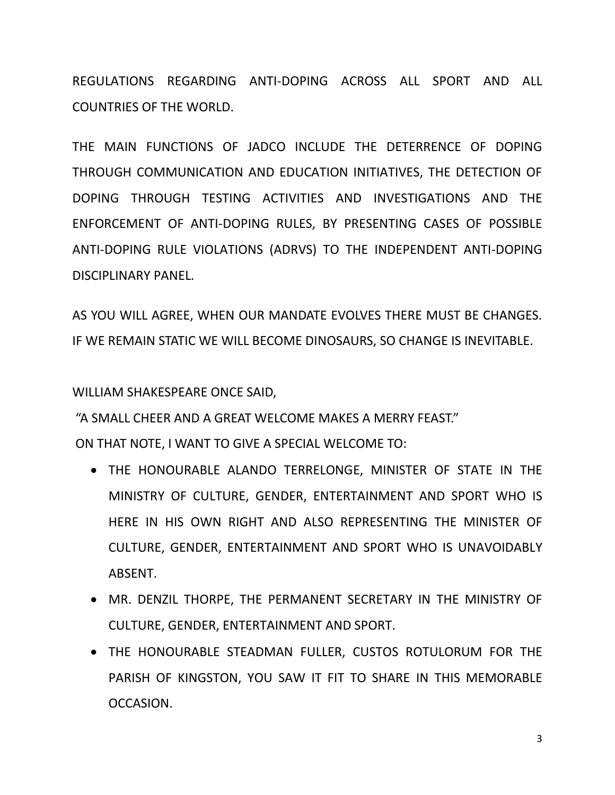REGULATIONS REGARDING ANTI-DOPING ACROSS ALL SPORT AND ALL COUNTRIES OF THE WORLD.

THE MAIN FUNCTIONS OF JADCO INCLUDE THE DETERRENCE OF DOPING THROUGH COMMUNICATION AND EDUCATION INITIATIVES, THE DETECTION OF DOPING THROUGH TESTING ACTIVITIES AND INVESTIGATIONS AND THE ENFORCEMENT OF ANTI-DOPING RULES, BY PRESENTING CASES OF POSSIBLE ANTI-DOPING RULE VIOLATIONS (ADRVS) TO THE INDEPENDENT ANTI-DOPING DISCIPLINARY PANEL.

AS YOU WILL AGREE, WHEN OUR MANDATE EVOLVES THERE MUST BE CHANGES. IF WE REMAIN STATIC WE WILL BECOME DINOSAURS, SO CHANGE IS INEVITABLE.

WILLIAM SHAKESPEARE ONCE SAID,

"A SMALL CHEER AND A GREAT WELCOME MAKES A MERRY FEAST." ON THAT NOTE, I WANT TO GIVE A SPECIAL WELCOME TO:

- THE HONOURABLE ALANDO TERRELONGE, MINISTER OF STATE IN THE MINISTRY OF CULTURE, GENDER, ENTERTAINMENT AND SPORT WHO IS HERE IN HIS OWN RIGHT AND ALSO REPRESENTING THE MINISTER OF CULTURE, GENDER, ENTERTAINMENT AND SPORT WHO IS UNAVOIDABLY ABSENT.
- MR. DENZIL THORPE, THE PERMANENT SECRETARY IN THE MINISTRY OF CULTURE, GENDER, ENTERTAINMENT AND SPORT.
- THE HONOURABLE STEADMAN FULLER, CUSTOS ROTULORUM FOR THE PARISH OF KINGSTON, YOU SAW IT FIT TO SHARE IN THIS MEMORABLE OCCASION.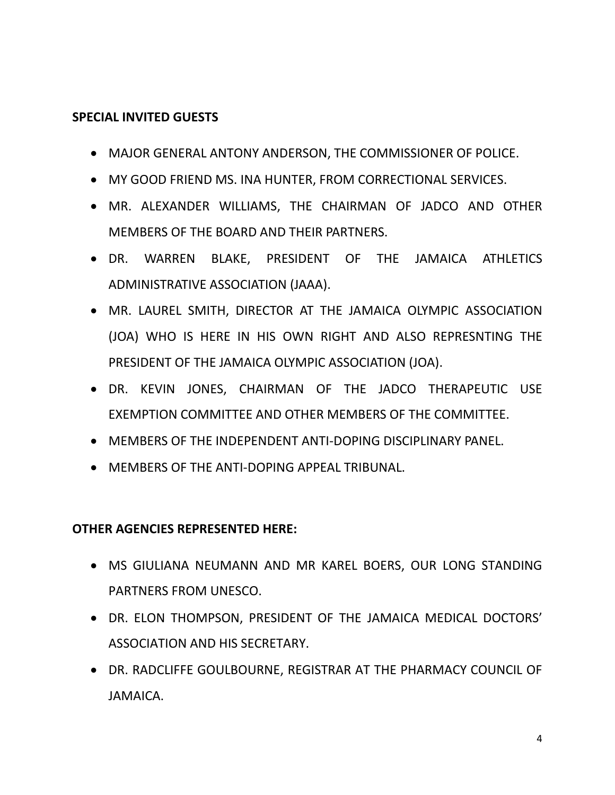#### **SPECIAL INVITED GUESTS**

- MAJOR GENERAL ANTONY ANDERSON, THE COMMISSIONER OF POLICE.
- MY GOOD FRIEND MS. INA HUNTER, FROM CORRECTIONAL SERVICES.
- MR. ALEXANDER WILLIAMS, THE CHAIRMAN OF JADCO AND OTHER MEMBERS OF THE BOARD AND THEIR PARTNERS.
- DR. WARREN BLAKE, PRESIDENT OF THE JAMAICA ATHLETICS ADMINISTRATIVE ASSOCIATION (JAAA).
- MR. LAUREL SMITH, DIRECTOR AT THE JAMAICA OLYMPIC ASSOCIATION (JOA) WHO IS HERE IN HIS OWN RIGHT AND ALSO REPRESNTING THE PRESIDENT OF THE JAMAICA OLYMPIC ASSOCIATION (JOA).
- DR. KEVIN JONES, CHAIRMAN OF THE JADCO THERAPEUTIC USE EXEMPTION COMMITTEE AND OTHER MEMBERS OF THE COMMITTEE.
- **MEMBERS OF THE INDEPENDENT ANTI-DOPING DISCIPLINARY PANEL.**
- MEMBERS OF THE ANTI-DOPING APPEAL TRIBUNAL.

#### **OTHER AGENCIES REPRESENTED HERE:**

- MS GIULIANA NEUMANN AND MR KAREL BOERS, OUR LONG STANDING PARTNERS FROM UNESCO.
- DR. ELON THOMPSON, PRESIDENT OF THE JAMAICA MEDICAL DOCTORS' ASSOCIATION AND HIS SECRETARY.
- DR. RADCLIFFE GOULBOURNE, REGISTRAR AT THE PHARMACY COUNCIL OF JAMAICA.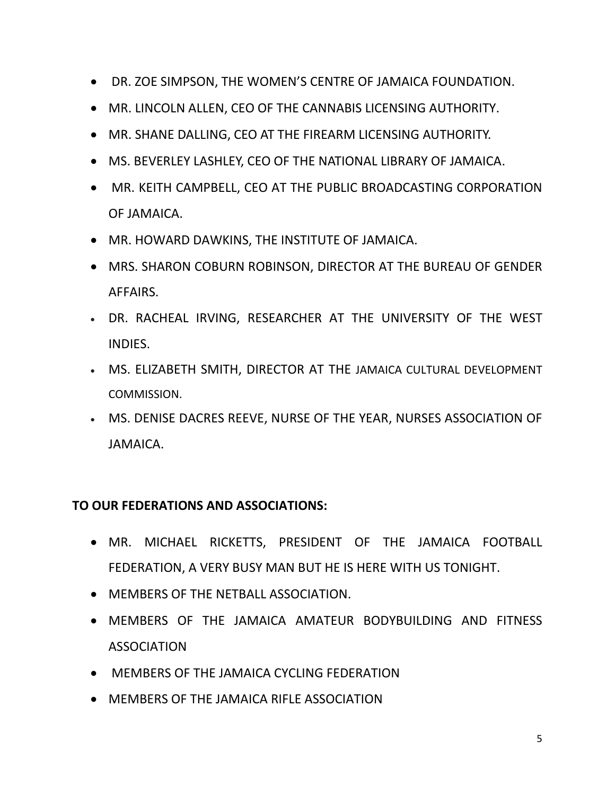- DR. ZOE SIMPSON, THE WOMEN'S CENTRE OF JAMAICA FOUNDATION.
- MR. LINCOLN ALLEN, CEO OF THE CANNABIS LICENSING AUTHORITY.
- MR. SHANE DALLING, CEO AT THE FIREARM LICENSING AUTHORITY.
- MS. BEVERLEY LASHLEY, CEO OF THE NATIONAL LIBRARY OF JAMAICA.
- MR. KEITH CAMPBELL, CEO AT THE PUBLIC BROADCASTING CORPORATION OF JAMAICA.
- MR. HOWARD DAWKINS, THE INSTITUTE OF JAMAICA.
- MRS. SHARON COBURN ROBINSON, DIRECTOR AT THE BUREAU OF GENDER AFFAIRS.
- DR. RACHEAL IRVING, RESEARCHER AT THE UNIVERSITY OF THE WEST INDIES.
- MS. ELIZABETH SMITH, DIRECTOR AT THE JAMAICA CULTURAL DEVELOPMENT COMMISSION.
- MS. DENISE DACRES REEVE, NURSE OF THE YEAR, [NURSES ASSOCIATION OF](http://najtrevennion.org/)  [JAMAICA.](http://najtrevennion.org/)

#### **TO OUR FEDERATIONS AND ASSOCIATIONS:**

- MR. MICHAEL RICKETTS, PRESIDENT OF THE JAMAICA FOOTBALL FEDERATION, A VERY BUSY MAN BUT HE IS HERE WITH US TONIGHT.
- MEMBERS OF THE NETBALL ASSOCIATION.
- MEMBERS OF THE JAMAICA AMATEUR BODYBUILDING AND FITNESS ASSOCIATION
- MEMBERS OF THE JAMAICA CYCLING FEDERATION
- MEMBERS OF THE JAMAICA RIFLE ASSOCIATION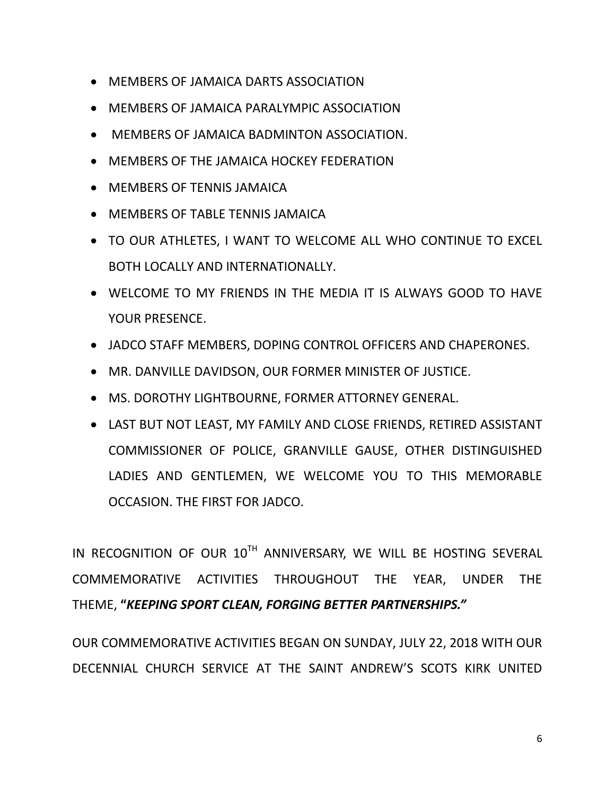- MEMBERS OF JAMAICA DARTS ASSOCIATION
- MEMBERS OF JAMAICA PARALYMPIC ASSOCIATION
- MEMBERS OF JAMAICA BADMINTON ASSOCIATION.
- MEMBERS OF THE JAMAICA HOCKEY FEDERATION
- MEMBERS OF TENNIS JAMAICA
- MEMBERS OF TABLE TENNIS JAMAICA
- TO OUR ATHLETES, I WANT TO WELCOME ALL WHO CONTINUE TO EXCEL BOTH LOCALLY AND INTERNATIONALLY.
- WELCOME TO MY FRIENDS IN THE MEDIA IT IS ALWAYS GOOD TO HAVE YOUR PRESENCE.
- JADCO STAFF MEMBERS, DOPING CONTROL OFFICERS AND CHAPERONES.
- MR. DANVILLE DAVIDSON, OUR FORMER MINISTER OF JUSTICE.
- MS. DOROTHY LIGHTBOURNE, FORMER ATTORNEY GENERAL.
- LAST BUT NOT LEAST, MY FAMILY AND CLOSE FRIENDS, RETIRED ASSISTANT COMMISSIONER OF POLICE, GRANVILLE GAUSE, OTHER DISTINGUISHED LADIES AND GENTLEMEN, WE WELCOME YOU TO THIS MEMORABLE OCCASION. THE FIRST FOR JADCO.

IN RECOGNITION OF OUR 10TH ANNIVERSARY, WE WILL BE HOSTING SEVERAL COMMEMORATIVE ACTIVITIES THROUGHOUT THE YEAR, UNDER THE THEME, **"***KEEPING SPORT CLEAN, FORGING BETTER PARTNERSHIPS."*

OUR COMMEMORATIVE ACTIVITIES BEGAN ON SUNDAY, JULY 22, 2018 WITH OUR DECENNIAL CHURCH SERVICE AT THE SAINT ANDREW'S SCOTS KIRK UNITED